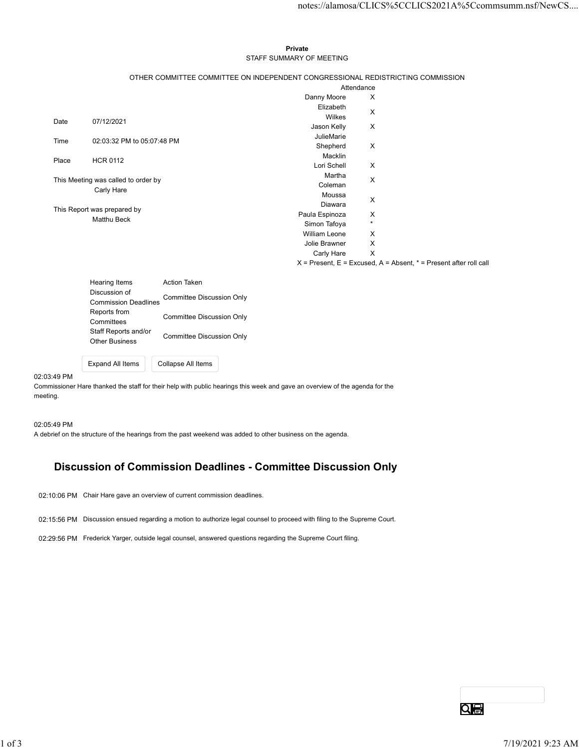## Private STAFF SUMMARY OF MEETING

|       |                                                    |                                                                                 |                        | notes://alamosa/CLICS%5CCLICS2021A%5Ccommsumm.nsf/NewCS               |
|-------|----------------------------------------------------|---------------------------------------------------------------------------------|------------------------|-----------------------------------------------------------------------|
|       |                                                    |                                                                                 |                        |                                                                       |
|       |                                                    |                                                                                 |                        |                                                                       |
|       |                                                    | Private                                                                         |                        |                                                                       |
|       |                                                    | STAFF SUMMARY OF MEETING                                                        |                        |                                                                       |
|       |                                                    |                                                                                 |                        |                                                                       |
|       |                                                    | OTHER COMMITTEE COMMITTEE ON INDEPENDENT CONGRESSIONAL REDISTRICTING COMMISSION |                        |                                                                       |
|       |                                                    |                                                                                 | Attendance             |                                                                       |
|       |                                                    | Danny Moore                                                                     | Elizabeth              | X                                                                     |
|       |                                                    |                                                                                 | Wilkes                 | X                                                                     |
| Date  | 07/12/2021                                         | Jason Kelly                                                                     |                        | X                                                                     |
| Time  | 02:03:32 PM to 05:07:48 PM                         |                                                                                 | JulieMarie             |                                                                       |
|       |                                                    |                                                                                 | Shepherd               | X                                                                     |
| Place | <b>HCR 0112</b>                                    |                                                                                 | Macklin<br>Lori Schell |                                                                       |
|       |                                                    |                                                                                 | Martha                 | X                                                                     |
|       | This Meeting was called to order by                |                                                                                 | Coleman                | X                                                                     |
|       | Carly Hare                                         |                                                                                 | Moussa                 |                                                                       |
|       | This Report was prepared by                        |                                                                                 | Diawara                | X                                                                     |
|       | Matthu Beck                                        | Paula Espinoza                                                                  |                        | X                                                                     |
|       |                                                    | Simon Tafoya                                                                    |                        | $\star$                                                               |
|       |                                                    | William Leone                                                                   |                        | X                                                                     |
|       |                                                    | Jolie Brawner                                                                   | Carly Hare             | $\mathsf X$<br>$\mathsf{X}$                                           |
|       |                                                    |                                                                                 |                        | $X =$ Present, E = Excused, A = Absent, $* =$ Present after roll call |
|       |                                                    |                                                                                 |                        |                                                                       |
|       | Hearing Items                                      | Action Taken                                                                    |                        |                                                                       |
|       | Discussion of<br><b>Commission Deadlines</b>       | <b>Committee Discussion Only</b>                                                |                        |                                                                       |
|       |                                                    |                                                                                 |                        |                                                                       |
|       | Reports from<br>Committees<br>Staff Reports and/or | <b>Committee Discussion Only</b>                                                |                        |                                                                       |

| Hearing Items               | <b>Action Taken</b>       |  |
|-----------------------------|---------------------------|--|
| Discussion of               | Committee Discussion Only |  |
| <b>Commission Deadlines</b> |                           |  |
| Reports from                | Committee Discussion Only |  |
| Committees                  |                           |  |
| Staff Reports and/or        | Committee Discussion Only |  |
| <b>Other Business</b>       |                           |  |
|                             |                           |  |

Expand All Items Collapse All Items

### 02:03:49 PM

Commissioner Hare thanked the staff for their help with public hearings this week and gave an overview of the agenda for the meeting.

02:05:49 PM

A debrief on the structure of the hearings from the past weekend was added to other business on the agenda.

# Discussion of Commission Deadlines - Committee Discussion Only

02:10:06 PM Chair Hare gave an overview of current commission deadlines.

- 02:15:56 PM Discussion ensued regarding a motion to authorize legal counsel to proceed with filing to the Supreme Court. out to our and the space of sounds a motion to authorize legal coursel to proceed with filing to the Supreme Court.<br>02:20:56 PM Frederick Yarger, authore legal coursel, answered questions regarding the Supreme Court filing
	- 02:29:56 PM Frederick Yarger, outside legal counsel, answered questions regarding the Supreme Court filing.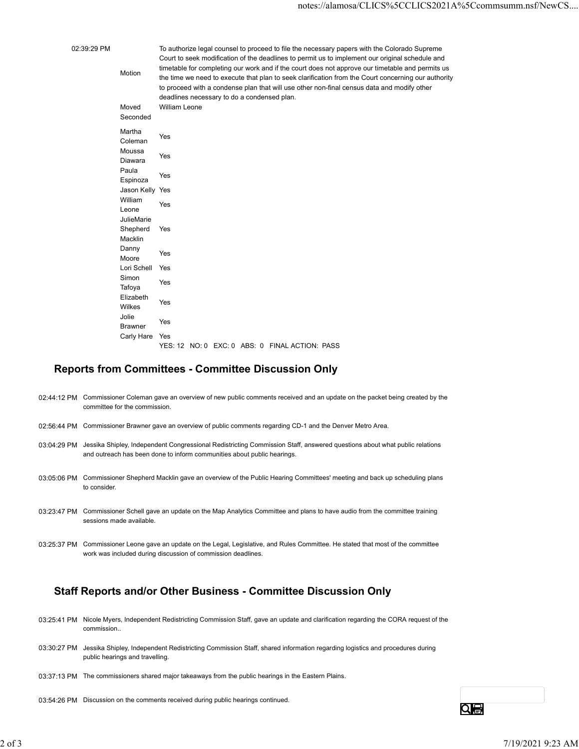02:39:29 PM To authorize legal counsel to proceed to file the necessary papers with the Colorado Supreme Motion<br>the time we need to execute that plan to seek clarification from the Court concerning our authority Court to seek modification of the deadlines to permit us to implement our original schedule and timetable for completing our work and if the court does not approve our timetable and permits us to proceed with a condense plan that will use other non-final census data and modify other deadlines necessary to do a condensed plan. motes://alamosa/CLICS%5CCLICS2021A%5<br>
To authorize legal counsel to proceed to file the necessary papers with the Colorado Supreme<br>
Court to seek modification of the deadlines to permit us to implement our original schedul

|                                     | notes://alamosa/CLICS%5CCLICS2021A%5                                                                                                                                                                                                                                                                                                                                                                                                                                                                                                                                            |
|-------------------------------------|---------------------------------------------------------------------------------------------------------------------------------------------------------------------------------------------------------------------------------------------------------------------------------------------------------------------------------------------------------------------------------------------------------------------------------------------------------------------------------------------------------------------------------------------------------------------------------|
| Motion<br>Moved<br>Seconded         | To authorize legal counsel to proceed to file the necessary papers with the Colorado Supreme<br>Court to seek modification of the deadlines to permit us to implement our original schedule and<br>timetable for completing our work and if the court does not approve our timetable and permits us<br>the time we need to execute that plan to seek clarification from the Court concerning our authority<br>to proceed with a condense plan that will use other non-final census data and modify other<br>deadlines necessary to do a condensed plan.<br><b>William Leone</b> |
| Martha<br>Coleman                   | Yes                                                                                                                                                                                                                                                                                                                                                                                                                                                                                                                                                                             |
| Moussa<br>Diawara                   | Yes                                                                                                                                                                                                                                                                                                                                                                                                                                                                                                                                                                             |
| Paula<br>Espinoza                   | Yes                                                                                                                                                                                                                                                                                                                                                                                                                                                                                                                                                                             |
| Jason Kelly Yes<br>William<br>Leone | Yes                                                                                                                                                                                                                                                                                                                                                                                                                                                                                                                                                                             |
| JulieMarie<br>Shepherd<br>Macklin   | Yes                                                                                                                                                                                                                                                                                                                                                                                                                                                                                                                                                                             |
| Danny<br>Moore                      | Yes                                                                                                                                                                                                                                                                                                                                                                                                                                                                                                                                                                             |
| Lori Schell<br>Simon                | Yes<br>Yes                                                                                                                                                                                                                                                                                                                                                                                                                                                                                                                                                                      |
| Tafoya<br>Elizabeth<br>Wilkes       | Yes                                                                                                                                                                                                                                                                                                                                                                                                                                                                                                                                                                             |
| Jolie<br>Brawner                    | Yes                                                                                                                                                                                                                                                                                                                                                                                                                                                                                                                                                                             |
| Carly Hare                          | Yes<br>YES: 12 NO: 0 EXC: 0 ABS: 0 FINAL ACTION: PASS                                                                                                                                                                                                                                                                                                                                                                                                                                                                                                                           |

## Reports from Committees - Committee Discussion Only

- 02:44:12 PM Commissioner Coleman gave an overview of new public comments received and an update on the packet being created by the committee for the commission.
- 02:56:44 PM Commissioner Brawner gave an overview of public comments regarding CD-1 and the Denver Metro Area.
- 03:04:29 PM Jessika Shipley, Independent Congressional Redistricting Commission Staff, answered questions about what public relations and outreach has been done to inform communities about public hearings.
- 03:05:06 PM Commissioner Shepherd Macklin gave an overview of the Public Hearing Committees' meeting and back up scheduling plans to consider.
- 03:23:47 PM Commissioner Schell gave an update on the Map Analytics Committee and plans to have audio from the committee training sessions made available.
- 03:25:37 PM Commissioner Leone gave an update on the Legal, Legislative, and Rules Committee. He stated that most of the committee work was included during discussion of commission deadlines. 232347 PM Commissioner Schel gave an update on the Map Analytics Committee and plans to have audio from the committee training<br>23 of 3 7 PM Commissioner Leone gave an update on the Legal, Legislative, and Rules Committee.

# Staff Reports and/or Other Business - Committee Discussion Only

- 03:25:41 PM Nicole Myers, Independent Redistricting Commission Staff, gave an update and clarification regarding the CORA request of the commission..
- 03:30:27 PM Jessika Shipley, Independent Redistricting Commission Staff, shared information regarding logistics and procedures during public hearings and travelling.
- 03:37:13 PM The commissioners shared major takeaways from the public hearings in the Eastern Plains.
- 03:54:26 PM Discussion on the comments received during public hearings continued.